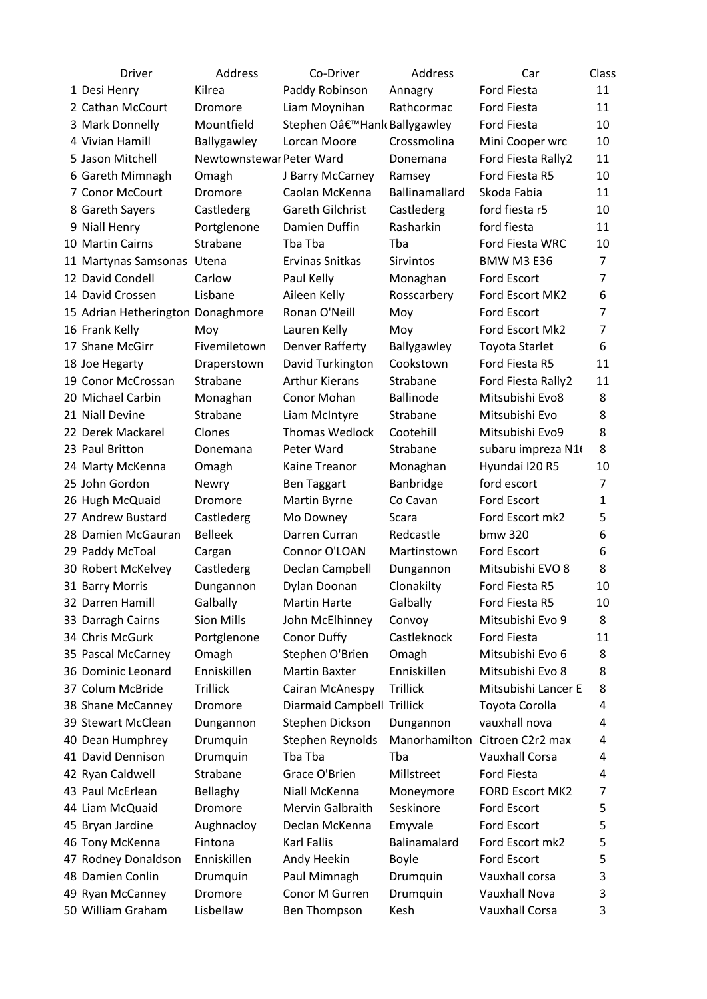| <b>Driver</b>                     | Address                  | Co-Driver                  | Address          | Car                            | Class          |
|-----------------------------------|--------------------------|----------------------------|------------------|--------------------------------|----------------|
| 1 Desi Henry                      | Kilrea                   | Paddy Robinson             | Annagry          | Ford Fiesta                    | 11             |
| 2 Cathan McCourt                  | Dromore                  | Liam Moynihan              | Rathcormac       | <b>Ford Fiesta</b>             | 11             |
| 3 Mark Donnelly                   | Mountfield               | Stephen O'Hank Ballygawley |                  | <b>Ford Fiesta</b>             | 10             |
| 4 Vivian Hamill                   | Ballygawley              | Lorcan Moore               | Crossmolina      | Mini Cooper wrc                | 10             |
| 5 Jason Mitchell                  | Newtownstewar Peter Ward |                            | Donemana         | Ford Fiesta Rally2             | 11             |
| 6 Gareth Mimnagh                  | Omagh                    | J Barry McCarney           | Ramsey           | Ford Fiesta R5                 | 10             |
| 7 Conor McCourt                   | <b>Dromore</b>           | Caolan McKenna             | Ballinamallard   | Skoda Fabia                    | 11             |
| 8 Gareth Sayers                   | Castlederg               | Gareth Gilchrist           | Castlederg       | ford fiesta r5                 | 10             |
| 9 Niall Henry                     | Portglenone              | Damien Duffin              | Rasharkin        | ford fiesta                    | 11             |
| 10 Martin Cairns                  | Strabane                 | Tba Tba                    | Tba              | Ford Fiesta WRC                | 10             |
| 11 Martynas Samsonas Utena        |                          | Ervinas Snitkas            | <b>Sirvintos</b> | <b>BMW M3 E36</b>              | 7              |
| 12 David Condell                  | Carlow                   | Paul Kelly                 | Monaghan         | Ford Escort                    | $\overline{7}$ |
| 14 David Crossen                  | Lisbane                  | Aileen Kelly               | Rosscarbery      | Ford Escort MK2                | 6              |
| 15 Adrian Hetherington Donaghmore |                          | Ronan O'Neill              | Moy              | Ford Escort                    | $\overline{7}$ |
| 16 Frank Kelly                    | Moy                      | Lauren Kelly               | Moy              | Ford Escort Mk2                | $\overline{7}$ |
| 17 Shane McGirr                   | Fivemiletown             | Denver Rafferty            | Ballygawley      | <b>Toyota Starlet</b>          | 6              |
| 18 Joe Hegarty                    | Draperstown              | David Turkington           | Cookstown        | Ford Fiesta R5                 | 11             |
| 19 Conor McCrossan                | Strabane                 | <b>Arthur Kierans</b>      | Strabane         | Ford Fiesta Rally2             | 11             |
| 20 Michael Carbin                 | Monaghan                 | Conor Mohan                | <b>Ballinode</b> | Mitsubishi Evo8                | 8              |
| 21 Niall Devine                   | Strabane                 | Liam McIntyre              | Strabane         | Mitsubishi Evo                 | 8              |
| 22 Derek Mackarel                 | Clones                   | <b>Thomas Wedlock</b>      | Cootehill        | Mitsubishi Evo9                | 8              |
| 23 Paul Britton                   | Donemana                 | Peter Ward                 | Strabane         | subaru impreza N16             | 8              |
| 24 Marty McKenna                  | Omagh                    | Kaine Treanor              | Monaghan         | Hyundai I20 R5                 | 10             |
| 25 John Gordon                    | Newry                    | <b>Ben Taggart</b>         | Banbridge        | ford escort                    | $\overline{7}$ |
| 26 Hugh McQuaid                   | Dromore                  | Martin Byrne               | Co Cavan         | Ford Escort                    | $\mathbf{1}$   |
| 27 Andrew Bustard                 | Castlederg               | Mo Downey                  | Scara            | Ford Escort mk2                | 5              |
| 28 Damien McGauran                | <b>Belleek</b>           | Darren Curran              | Redcastle        | bmw 320                        | 6              |
| 29 Paddy McToal                   | Cargan                   | Connor O'LOAN              | Martinstown      | Ford Escort                    | 6              |
| 30 Robert McKelvey                | Castlederg               | Declan Campbell            | Dungannon        | Mitsubishi EVO 8               | 8              |
| 31 Barry Morris                   | Dungannon                | Dylan Doonan               | Clonakilty       | Ford Fiesta R5                 | 10             |
| 32 Darren Hamill                  | Galbally                 | <b>Martin Harte</b>        | Galbally         | Ford Fiesta R5                 | 10             |
| 33 Darragh Cairns                 | <b>Sion Mills</b>        | John McElhinney            | Convoy           | Mitsubishi Evo 9               | 8              |
| 34 Chris McGurk                   | Portglenone              | Conor Duffy                | Castleknock      | <b>Ford Fiesta</b>             | 11             |
| 35 Pascal McCarney                | Omagh                    | Stephen O'Brien            | Omagh            | Mitsubishi Evo 6               | 8              |
| 36 Dominic Leonard                | Enniskillen              | <b>Martin Baxter</b>       | Enniskillen      | Mitsubishi Evo 8               | 8              |
| 37 Colum McBride                  | Trillick                 | Cairan McAnespy            | <b>Trillick</b>  | Mitsubishi Lancer E            | 8              |
| 38 Shane McCanney                 | Dromore                  | Diarmaid Campbell Trillick |                  | Toyota Corolla                 | 4              |
| 39 Stewart McClean                | Dungannon                | Stephen Dickson            | Dungannon        | vauxhall nova                  | 4              |
| 40 Dean Humphrey                  | Drumquin                 | Stephen Reynolds           |                  | Manorhamilton Citroen C2r2 max | 4              |
| 41 David Dennison                 | Drumquin                 | Tba Tba                    | Tba              | <b>Vauxhall Corsa</b>          | 4              |
| 42 Ryan Caldwell                  | Strabane                 | Grace O'Brien              | Millstreet       | <b>Ford Fiesta</b>             | 4              |
| 43 Paul McErlean                  | Bellaghy                 | Niall McKenna              | Moneymore        | <b>FORD Escort MK2</b>         | 7              |
| 44 Liam McQuaid                   | Dromore                  | Mervin Galbraith           | Seskinore        | Ford Escort                    | 5              |
| 45 Bryan Jardine                  | Aughnacloy               | Declan McKenna             | Emyvale          | Ford Escort                    | 5              |
| 46 Tony McKenna                   | Fintona                  | Karl Fallis                | Balinamalard     | Ford Escort mk2                | 5              |
| 47 Rodney Donaldson               | Enniskillen              | Andy Heekin                | <b>Boyle</b>     | Ford Escort                    | 5              |
| 48 Damien Conlin                  | Drumquin                 | Paul Mimnagh               | Drumquin         | Vauxhall corsa                 | 3              |
| 49 Ryan McCanney                  | Dromore                  | Conor M Gurren             | Drumquin         | Vauxhall Nova                  | 3              |
| 50 William Graham                 | Lisbellaw                | Ben Thompson               | Kesh             | Vauxhall Corsa                 | 3              |
|                                   |                          |                            |                  |                                |                |